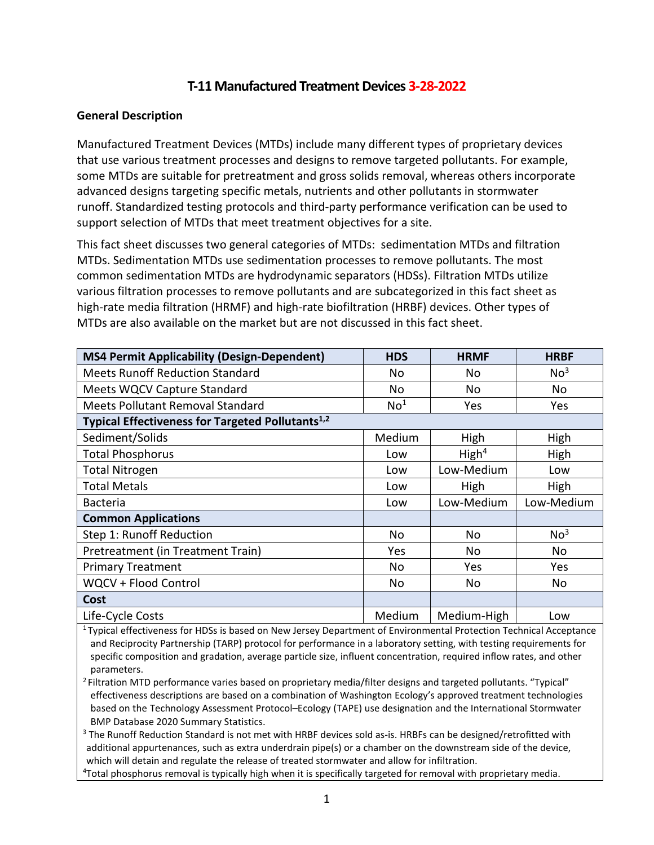# **T-11 Manufactured Treatment Devices 3-28-2022**

### **General Description**

Manufactured Treatment Devices (MTDs) include many different types of proprietary devices that use various treatment processes and designs to remove targeted pollutants. For example, some MTDs are suitable for pretreatment and gross solids removal, whereas others incorporate advanced designs targeting specific metals, nutrients and other pollutants in stormwater runoff. Standardized testing protocols and third-party performance verification can be used to support selection of MTDs that meet treatment objectives for a site.

This fact sheet discusses two general categories of MTDs: sedimentation MTDs and filtration MTDs. Sedimentation MTDs use sedimentation processes to remove pollutants. The most common sedimentation MTDs are hydrodynamic separators (HDSs). Filtration MTDs utilize various filtration processes to remove pollutants and are subcategorized in this fact sheet as high-rate media filtration (HRMF) and high-rate biofiltration (HRBF) devices. Other types of MTDs are also available on the market but are not discussed in this fact sheet.

| <b>MS4 Permit Applicability (Design-Dependent)</b>           | <b>HDS</b>      | <b>HRMF</b>       | <b>HRBF</b>     |  |
|--------------------------------------------------------------|-----------------|-------------------|-----------------|--|
| <b>Meets Runoff Reduction Standard</b>                       | No              | No                | No <sup>3</sup> |  |
| Meets WQCV Capture Standard                                  | No              | No                | No              |  |
| <b>Meets Pollutant Removal Standard</b>                      | No <sup>1</sup> | Yes               | <b>Yes</b>      |  |
| Typical Effectiveness for Targeted Pollutants <sup>1,2</sup> |                 |                   |                 |  |
| Sediment/Solids                                              | Medium          | High              | High            |  |
| <b>Total Phosphorus</b>                                      | Low             | High <sup>4</sup> | High            |  |
| <b>Total Nitrogen</b>                                        | Low             | Low-Medium        | Low             |  |
| <b>Total Metals</b>                                          | Low             | High              | High            |  |
| <b>Bacteria</b>                                              | Low             | Low-Medium        | Low-Medium      |  |
| <b>Common Applications</b>                                   |                 |                   |                 |  |
| Step 1: Runoff Reduction                                     | <b>No</b>       | No                | No <sup>3</sup> |  |
| Pretreatment (in Treatment Train)                            | Yes             | No                | No              |  |
| <b>Primary Treatment</b>                                     | No              | Yes               | <b>Yes</b>      |  |
| WQCV + Flood Control                                         | <b>No</b>       | No                | No              |  |
| Cost                                                         |                 |                   |                 |  |
| Life-Cycle Costs                                             | Medium          | Medium-High       | Low             |  |

 $1$ Typical effectiveness for HDSs is based on New Jersey Department of Environmental Protection Technical Acceptance and Reciprocity Partnership (TARP) protocol for performance in a laboratory setting, with testing requirements for specific composition and gradation, average particle size, influent concentration, required inflow rates, and other parameters.

2 Filtration MTD performance varies based on proprietary media/filter designs and targeted pollutants. "Typical" effectiveness descriptions are based on a combination of Washington Ecology's approved treatment technologies based on the Technology Assessment Protocol–Ecology (TAPE) use designation and the International Stormwater BMP Database 2020 Summary Statistics.<br><sup>3</sup> The Runoff Reduction Standard is not met with HRBF devices sold as-is. HRBFs can be designed/retrofitted with

additional appurtenances, such as extra underdrain pipe(s) or a chamber on the downstream side of the device, which will detain and regulate the release of treated stormwater and allow for infiltration. 4

<sup>4</sup>Total phosphorus removal is typically high when it is specifically targeted for removal with proprietary media.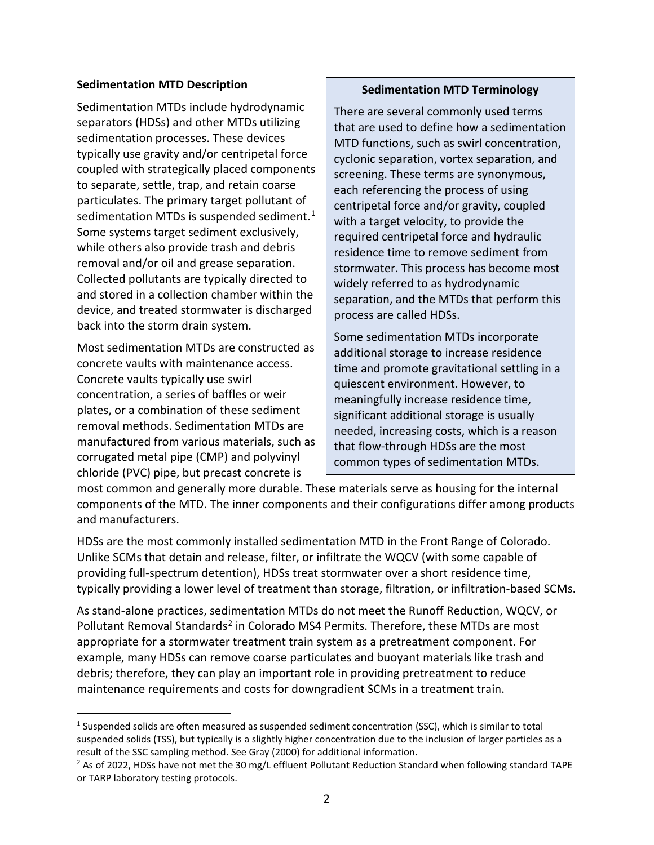### **Sedimentation MTD Description**

Sedimentation MTDs include hydrodynamic separators (HDSs) and other MTDs utilizing sedimentation processes. These devices typically use gravity and/or centripetal force coupled with strategically placed components to separate, settle, trap, and retain coarse particulates. The primary target pollutant of sedimentation MTDs is suspended sediment.<sup>[1](#page-1-0)</sup> Some systems target sediment exclusively, while others also provide trash and debris removal and/or oil and grease separation. Collected pollutants are typically directed to and stored in a collection chamber within the device, and treated stormwater is discharged back into the storm drain system.

Most sedimentation MTDs are constructed as concrete vaults with maintenance access. Concrete vaults typically use swirl concentration, a series of baffles or weir plates, or a combination of these sediment removal methods. Sedimentation MTDs are manufactured from various materials, such as corrugated metal pipe (CMP) and polyvinyl chloride (PVC) pipe, but precast concrete is

### **Sedimentation MTD Terminology**

There are several commonly used terms that are used to define how a sedimentation MTD functions, such as swirl concentration, cyclonic separation, vortex separation, and screening. These terms are synonymous, each referencing the process of using centripetal force and/or gravity, coupled with a target velocity, to provide the required centripetal force and hydraulic residence time to remove sediment from stormwater. This process has become most widely referred to as hydrodynamic separation, and the MTDs that perform this process are called HDSs.

Some sedimentation MTDs incorporate additional storage to increase residence time and promote gravitational settling in a quiescent environment. However, to meaningfully increase residence time, significant additional storage is usually needed, increasing costs, which is a reason that flow-through HDSs are the most common types of sedimentation MTDs.

most common and generally more durable. These materials serve as housing for the internal components of the MTD. The inner components and their configurations differ among products and manufacturers.

HDSs are the most commonly installed sedimentation MTD in the Front Range of Colorado. Unlike SCMs that detain and release, filter, or infiltrate the WQCV (with some capable of providing full-spectrum detention), HDSs treat stormwater over a short residence time, typically providing a lower level of treatment than storage, filtration, or infiltration-based SCMs.

As stand-alone practices, sedimentation MTDs do not meet the Runoff Reduction, WQCV, or Pollutant Removal Standards<sup>[2](#page-1-1)</sup> in Colorado MS4 Permits. Therefore, these MTDs are most appropriate for a stormwater treatment train system as a pretreatment component. For example, many HDSs can remove coarse particulates and buoyant materials like trash and debris; therefore, they can play an important role in providing pretreatment to reduce maintenance requirements and costs for downgradient SCMs in a treatment train.

<span id="page-1-0"></span><sup>&</sup>lt;sup>1</sup> Suspended solids are often measured as suspended sediment concentration (SSC), which is similar to total suspended solids (TSS), but typically is a slightly higher concentration due to the inclusion of larger particles as a result of the SSC sampling method. See Gray (2000) for additional information.

<span id="page-1-1"></span><sup>&</sup>lt;sup>2</sup> As of 2022, HDSs have not met the 30 mg/L effluent Pollutant Reduction Standard when following standard TAPE or TARP laboratory testing protocols.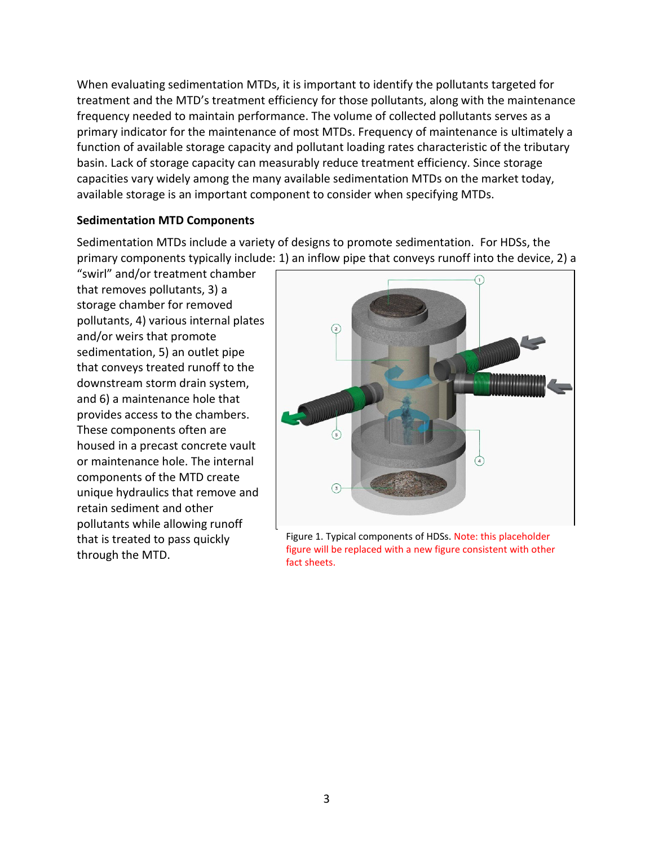When evaluating sedimentation MTDs, it is important to identify the pollutants targeted for treatment and the MTD's treatment efficiency for those pollutants, along with the maintenance frequency needed to maintain performance. The volume of collected pollutants serves as a primary indicator for the maintenance of most MTDs. Frequency of maintenance is ultimately a function of available storage capacity and pollutant loading rates characteristic of the tributary basin. Lack of storage capacity can measurably reduce treatment efficiency. Since storage capacities vary widely among the many available sedimentation MTDs on the market today, available storage is an important component to consider when specifying MTDs.

### **Sedimentation MTD Components**

Sedimentation MTDs include a variety of designs to promote sedimentation. For HDSs, the primary components typically include: 1) an inflow pipe that conveys runoff into the device, 2) a

"swirl" and/or treatment chamber that removes pollutants, 3) a storage chamber for removed pollutants, 4) various internal plates and/or weirs that promote sedimentation, 5) an outlet pipe that conveys treated runoff to the downstream storm drain system, and 6) a maintenance hole that provides access to the chambers. These components often are housed in a precast concrete vault or maintenance hole. The internal components of the MTD create unique hydraulics that remove and retain sediment and other pollutants while allowing runoff that is treated to pass quickly through the MTD.



Figure 1. Typical components of HDSs. Note: this placeholder figure will be replaced with a new figure consistent with other fact sheets.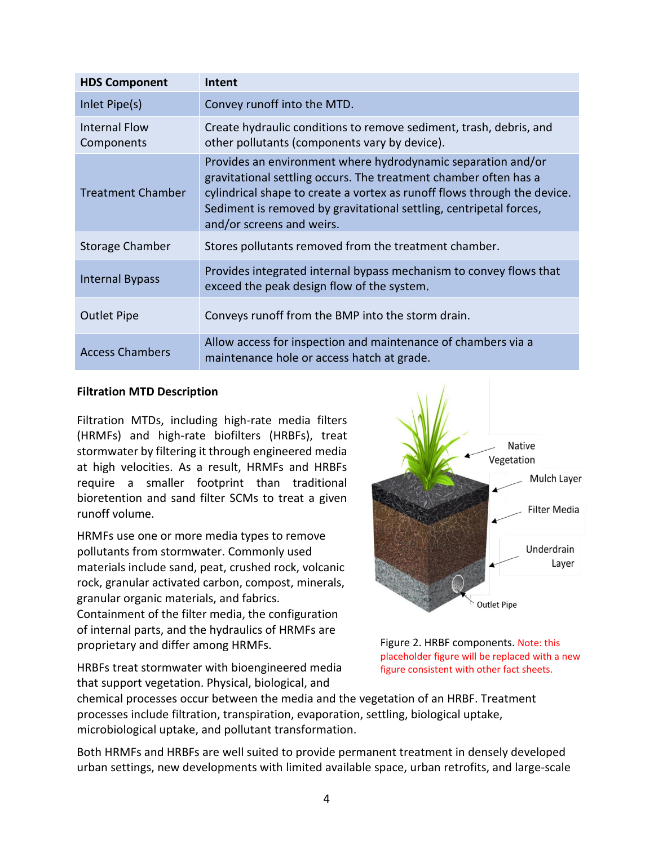| <b>HDS Component</b>        | Intent                                                                                                                                                                                                                                                                                                          |
|-----------------------------|-----------------------------------------------------------------------------------------------------------------------------------------------------------------------------------------------------------------------------------------------------------------------------------------------------------------|
| Inlet Pipe(s)               | Convey runoff into the MTD.                                                                                                                                                                                                                                                                                     |
| Internal Flow<br>Components | Create hydraulic conditions to remove sediment, trash, debris, and<br>other pollutants (components vary by device).                                                                                                                                                                                             |
| <b>Treatment Chamber</b>    | Provides an environment where hydrodynamic separation and/or<br>gravitational settling occurs. The treatment chamber often has a<br>cylindrical shape to create a vortex as runoff flows through the device.<br>Sediment is removed by gravitational settling, centripetal forces,<br>and/or screens and weirs. |
| Storage Chamber             | Stores pollutants removed from the treatment chamber.                                                                                                                                                                                                                                                           |
| <b>Internal Bypass</b>      | Provides integrated internal bypass mechanism to convey flows that<br>exceed the peak design flow of the system.                                                                                                                                                                                                |
| <b>Outlet Pipe</b>          | Conveys runoff from the BMP into the storm drain.                                                                                                                                                                                                                                                               |
| <b>Access Chambers</b>      | Allow access for inspection and maintenance of chambers via a<br>maintenance hole or access hatch at grade.                                                                                                                                                                                                     |

#### **Filtration MTD Description**

Filtration MTDs, including high-rate media filters (HRMFs) and high-rate biofilters (HRBFs), treat stormwater by filtering it through engineered media at high velocities. As a result, HRMFs and HRBFs require a smaller footprint than traditional bioretention and sand filter SCMs to treat a given runoff volume.

HRMFs use one or more media types to remove pollutants from stormwater. Commonly used materials include sand, peat, crushed rock, volcanic rock, granular activated carbon, compost, minerals, granular organic materials, and fabrics. Containment of the filter media, the configuration of internal parts, and the hydraulics of HRMFs are proprietary and differ among HRMFs.



Figure 2. HRBF components. Note: this placeholder figure will be replaced with a new figure consistent with other fact sheets.

HRBFs treat stormwater with bioengineered media that support vegetation. Physical, biological, and

chemical processes occur between the media and the vegetation of an HRBF. Treatment processes include filtration, transpiration, evaporation, settling, biological uptake, microbiological uptake, and pollutant transformation.

Both HRMFs and HRBFs are well suited to provide permanent treatment in densely developed urban settings, new developments with limited available space, urban retrofits, and large-scale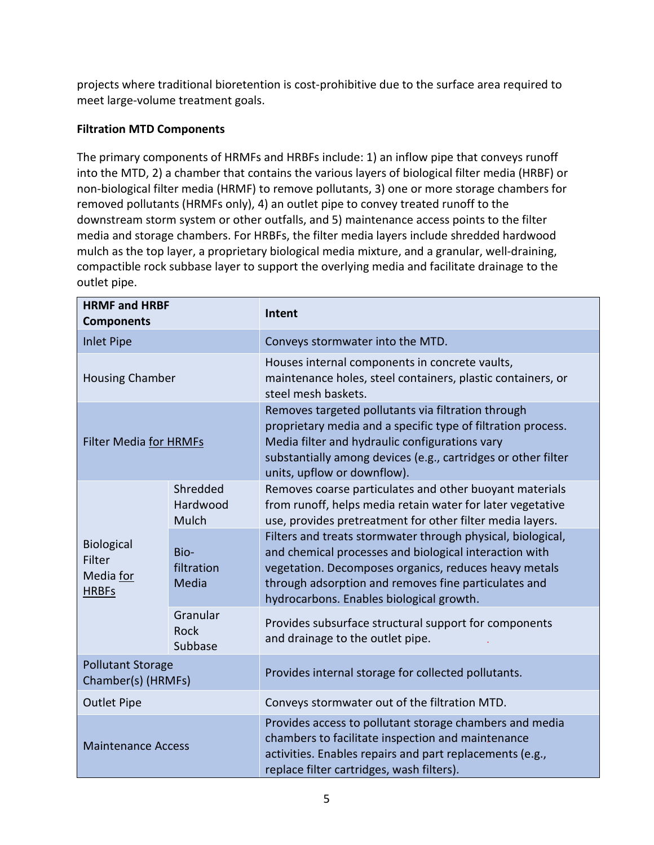projects where traditional bioretention is cost-prohibitive due to the surface area required to meet large-volume treatment goals.

# **Filtration MTD Components**

The primary components of HRMFs and HRBFs include: 1) an inflow pipe that conveys runoff into the MTD, 2) a chamber that contains the various layers of biological filter media (HRBF) or non-biological filter media (HRMF) to remove pollutants, 3) one or more storage chambers for removed pollutants (HRMFs only), 4) an outlet pipe to convey treated runoff to the downstream storm system or other outfalls, and 5) maintenance access points to the filter media and storage chambers. For HRBFs, the filter media layers include shredded hardwood mulch as the top layer, a proprietary biological media mixture, and a granular, well-draining, compactible rock subbase layer to support the overlying media and facilitate drainage to the outlet pipe.

| <b>HRMF and HRBF</b><br><b>Components</b>         |                               | Intent                                                                                                                                                                                                                                                                             |  |  |
|---------------------------------------------------|-------------------------------|------------------------------------------------------------------------------------------------------------------------------------------------------------------------------------------------------------------------------------------------------------------------------------|--|--|
| <b>Inlet Pipe</b>                                 |                               | Conveys stormwater into the MTD.                                                                                                                                                                                                                                                   |  |  |
| <b>Housing Chamber</b>                            |                               | Houses internal components in concrete vaults,<br>maintenance holes, steel containers, plastic containers, or<br>steel mesh baskets.                                                                                                                                               |  |  |
| <b>Filter Media for HRMFs</b>                     |                               | Removes targeted pollutants via filtration through<br>proprietary media and a specific type of filtration process.<br>Media filter and hydraulic configurations vary<br>substantially among devices (e.g., cartridges or other filter<br>units, upflow or downflow).               |  |  |
| Biological<br>Filter<br>Media for<br><b>HRBFs</b> | Shredded<br>Hardwood<br>Mulch | Removes coarse particulates and other buoyant materials<br>from runoff, helps media retain water for later vegetative<br>use, provides pretreatment for other filter media layers.                                                                                                 |  |  |
|                                                   | Bio-<br>filtration<br>Media   | Filters and treats stormwater through physical, biological,<br>and chemical processes and biological interaction with<br>vegetation. Decomposes organics, reduces heavy metals<br>through adsorption and removes fine particulates and<br>hydrocarbons. Enables biological growth. |  |  |
|                                                   | Granular<br>Rock<br>Subbase   | Provides subsurface structural support for components<br>and drainage to the outlet pipe.                                                                                                                                                                                          |  |  |
| <b>Pollutant Storage</b><br>Chamber(s) (HRMFs)    |                               | Provides internal storage for collected pollutants.                                                                                                                                                                                                                                |  |  |
| <b>Outlet Pipe</b>                                |                               | Conveys stormwater out of the filtration MTD.                                                                                                                                                                                                                                      |  |  |
| <b>Maintenance Access</b>                         |                               | Provides access to pollutant storage chambers and media<br>chambers to facilitate inspection and maintenance<br>activities. Enables repairs and part replacements (e.g.,<br>replace filter cartridges, wash filters).                                                              |  |  |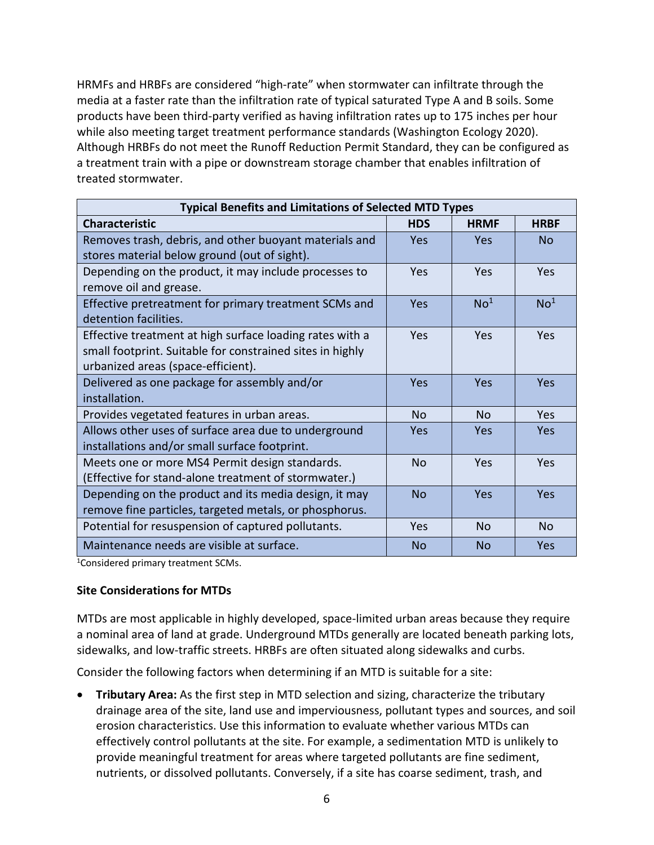HRMFs and HRBFs are considered "high-rate" when stormwater can infiltrate through the media at a faster rate than the infiltration rate of typical saturated Type A and B soils. Some products have been third-party verified as having infiltration rates up to 175 inches per hour while also meeting target treatment performance standards (Washington Ecology 2020). Although HRBFs do not meet the Runoff Reduction Permit Standard, they can be configured as a treatment train with a pipe or downstream storage chamber that enables infiltration of treated stormwater.

| <b>Typical Benefits and Limitations of Selected MTD Types</b>                                                                                               |            |                 |                 |  |  |  |  |
|-------------------------------------------------------------------------------------------------------------------------------------------------------------|------------|-----------------|-----------------|--|--|--|--|
| <b>Characteristic</b>                                                                                                                                       | <b>HDS</b> | <b>HRMF</b>     | <b>HRBF</b>     |  |  |  |  |
| Removes trash, debris, and other buoyant materials and<br>stores material below ground (out of sight).                                                      | <b>Yes</b> | Yes             | N <sub>0</sub>  |  |  |  |  |
| Depending on the product, it may include processes to<br>remove oil and grease.                                                                             | <b>Yes</b> | Yes             | <b>Yes</b>      |  |  |  |  |
| Effective pretreatment for primary treatment SCMs and<br>detention facilities.                                                                              | <b>Yes</b> | No <sup>1</sup> | No <sup>1</sup> |  |  |  |  |
| Effective treatment at high surface loading rates with a<br>small footprint. Suitable for constrained sites in highly<br>urbanized areas (space-efficient). | <b>Yes</b> | Yes             | Yes             |  |  |  |  |
| Delivered as one package for assembly and/or<br>installation.                                                                                               | Yes        | Yes             | Yes             |  |  |  |  |
| Provides vegetated features in urban areas.                                                                                                                 | <b>No</b>  | <b>No</b>       | Yes             |  |  |  |  |
| Allows other uses of surface area due to underground<br>installations and/or small surface footprint.                                                       | <b>Yes</b> | <b>Yes</b>      | Yes             |  |  |  |  |
| Meets one or more MS4 Permit design standards.<br>(Effective for stand-alone treatment of stormwater.)                                                      | <b>No</b>  | Yes             | Yes             |  |  |  |  |
| Depending on the product and its media design, it may<br>remove fine particles, targeted metals, or phosphorus.                                             | No         | Yes             | Yes             |  |  |  |  |
| Potential for resuspension of captured pollutants.                                                                                                          | <b>Yes</b> | N <sub>o</sub>  | N <sub>o</sub>  |  |  |  |  |
| Maintenance needs are visible at surface.                                                                                                                   | No.        | No              | <b>Yes</b>      |  |  |  |  |

1 Considered primary treatment SCMs.

### **Site Considerations for MTDs**

MTDs are most applicable in highly developed, space-limited urban areas because they require a nominal area of land at grade. Underground MTDs generally are located beneath parking lots, sidewalks, and low-traffic streets. HRBFs are often situated along sidewalks and curbs.

Consider the following factors when determining if an MTD is suitable for a site:

• **Tributary Area:** As the first step in MTD selection and sizing, characterize the tributary drainage area of the site, land use and imperviousness, pollutant types and sources, and soil erosion characteristics. Use this information to evaluate whether various MTDs can effectively control pollutants at the site. For example, a sedimentation MTD is unlikely to provide meaningful treatment for areas where targeted pollutants are fine sediment, nutrients, or dissolved pollutants. Conversely, if a site has coarse sediment, trash, and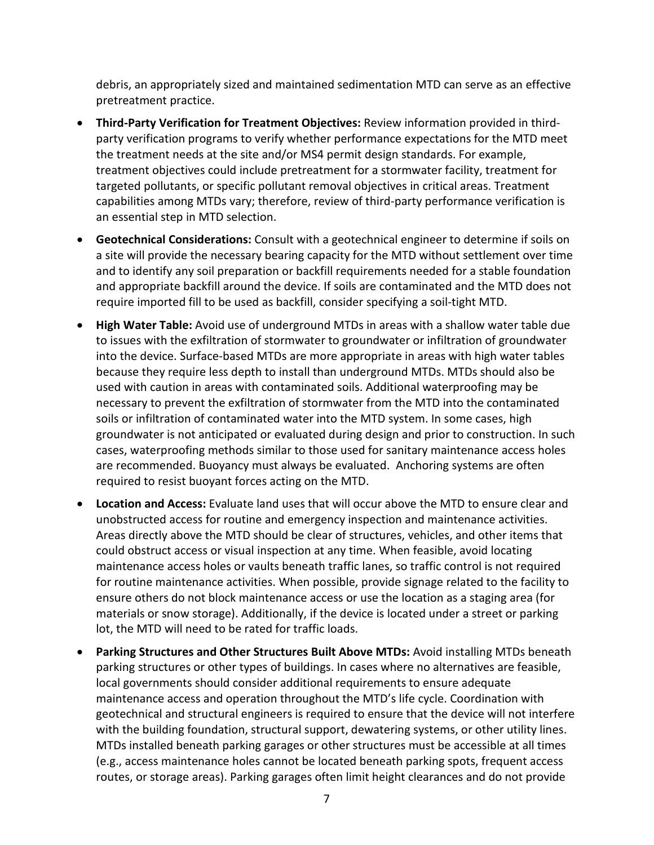debris, an appropriately sized and maintained sedimentation MTD can serve as an effective pretreatment practice.

- **Third-Party Verification for Treatment Objectives:** Review information provided in thirdparty verification programs to verify whether performance expectations for the MTD meet the treatment needs at the site and/or MS4 permit design standards. For example, treatment objectives could include pretreatment for a stormwater facility, treatment for targeted pollutants, or specific pollutant removal objectives in critical areas. Treatment capabilities among MTDs vary; therefore, review of third-party performance verification is an essential step in MTD selection.
- **Geotechnical Considerations:** Consult with a geotechnical engineer to determine if soils on a site will provide the necessary bearing capacity for the MTD without settlement over time and to identify any soil preparation or backfill requirements needed for a stable foundation and appropriate backfill around the device. If soils are contaminated and the MTD does not require imported fill to be used as backfill, consider specifying a soil-tight MTD.
- **High Water Table:** Avoid use of underground MTDs in areas with a shallow water table due to issues with the exfiltration of stormwater to groundwater or infiltration of groundwater into the device. Surface-based MTDs are more appropriate in areas with high water tables because they require less depth to install than underground MTDs. MTDs should also be used with caution in areas with contaminated soils. Additional waterproofing may be necessary to prevent the exfiltration of stormwater from the MTD into the contaminated soils or infiltration of contaminated water into the MTD system. In some cases, high groundwater is not anticipated or evaluated during design and prior to construction. In such cases, waterproofing methods similar to those used for sanitary maintenance access holes are recommended. Buoyancy must always be evaluated. Anchoring systems are often required to resist buoyant forces acting on the MTD.
- **Location and Access:** Evaluate land uses that will occur above the MTD to ensure clear and unobstructed access for routine and emergency inspection and maintenance activities. Areas directly above the MTD should be clear of structures, vehicles, and other items that could obstruct access or visual inspection at any time. When feasible, avoid locating maintenance access holes or vaults beneath traffic lanes, so traffic control is not required for routine maintenance activities. When possible, provide signage related to the facility to ensure others do not block maintenance access or use the location as a staging area (for materials or snow storage). Additionally, if the device is located under a street or parking lot, the MTD will need to be rated for traffic loads.
- **Parking Structures and Other Structures Built Above MTDs:** Avoid installing MTDs beneath parking structures or other types of buildings. In cases where no alternatives are feasible, local governments should consider additional requirements to ensure adequate maintenance access and operation throughout the MTD's life cycle. Coordination with geotechnical and structural engineers is required to ensure that the device will not interfere with the building foundation, structural support, dewatering systems, or other utility lines. MTDs installed beneath parking garages or other structures must be accessible at all times (e.g., access maintenance holes cannot be located beneath parking spots, frequent access routes, or storage areas). Parking garages often limit height clearances and do not provide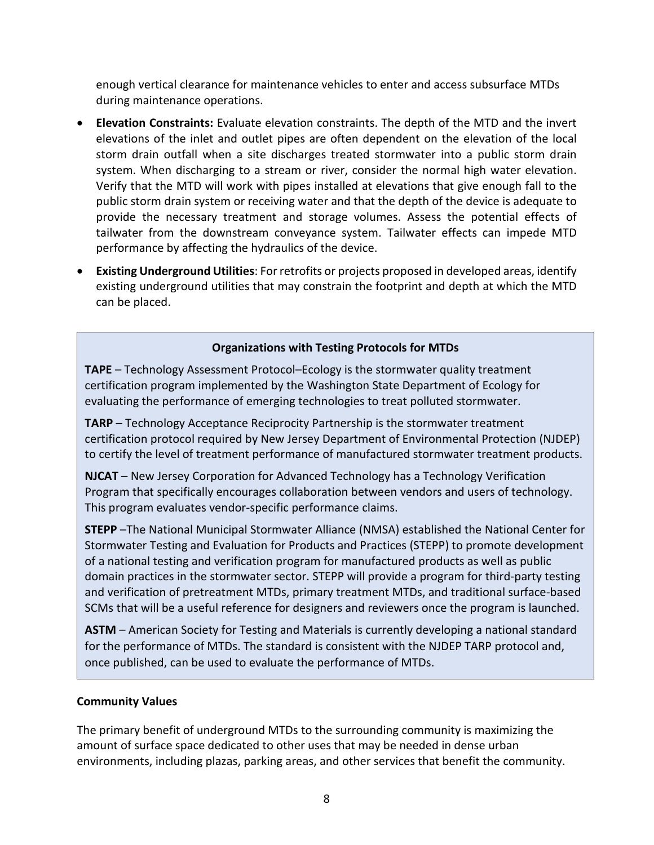enough vertical clearance for maintenance vehicles to enter and access subsurface MTDs during maintenance operations.

- **Elevation Constraints:** Evaluate elevation constraints. The depth of the MTD and the invert elevations of the inlet and outlet pipes are often dependent on the elevation of the local storm drain outfall when a site discharges treated stormwater into a public storm drain system. When discharging to a stream or river, consider the normal high water elevation. Verify that the MTD will work with pipes installed at elevations that give enough fall to the public storm drain system or receiving water and that the depth of the device is adequate to provide the necessary treatment and storage volumes. Assess the potential effects of tailwater from the downstream conveyance system. Tailwater effects can impede MTD performance by affecting the hydraulics of the device.
- **Existing Underground Utilities**: For retrofits or projects proposed in developed areas, identify existing underground utilities that may constrain the footprint and depth at which the MTD can be placed.

# **Organizations with Testing Protocols for MTDs**

**TAPE** – Technology Assessment Protocol–Ecology is the stormwater quality treatment certification program implemented by the Washington State Department of Ecology for evaluating the performance of emerging technologies to treat polluted stormwater.

**TARP** – Technology Acceptance Reciprocity Partnership is the stormwater treatment certification protocol required by New Jersey Department of Environmental Protection (NJDEP) to certify the level of treatment performance of manufactured stormwater treatment products.

**NJCAT** – New Jersey Corporation for Advanced Technology has a Technology Verification Program that specifically encourages collaboration between vendors and users of technology. This program evaluates vendor-specific performance claims.

**STEPP** –The National Municipal Stormwater Alliance (NMSA) established the National Center for Stormwater Testing and Evaluation for Products and Practices (STEPP) to promote development of a national testing and verification program for manufactured products as well as public domain practices in the stormwater sector. STEPP will provide a program for third-party testing and verification of pretreatment MTDs, primary treatment MTDs, and traditional surface-based SCMs that will be a useful reference for designers and reviewers once the program is launched.

**ASTM** – American Society for Testing and Materials is currently developing a national standard for the performance of MTDs. The standard is consistent with the NJDEP TARP protocol and, once published, can be used to evaluate the performance of MTDs.

### **Community Values**

The primary benefit of underground MTDs to the surrounding community is maximizing the amount of surface space dedicated to other uses that may be needed in dense urban environments, including plazas, parking areas, and other services that benefit the community.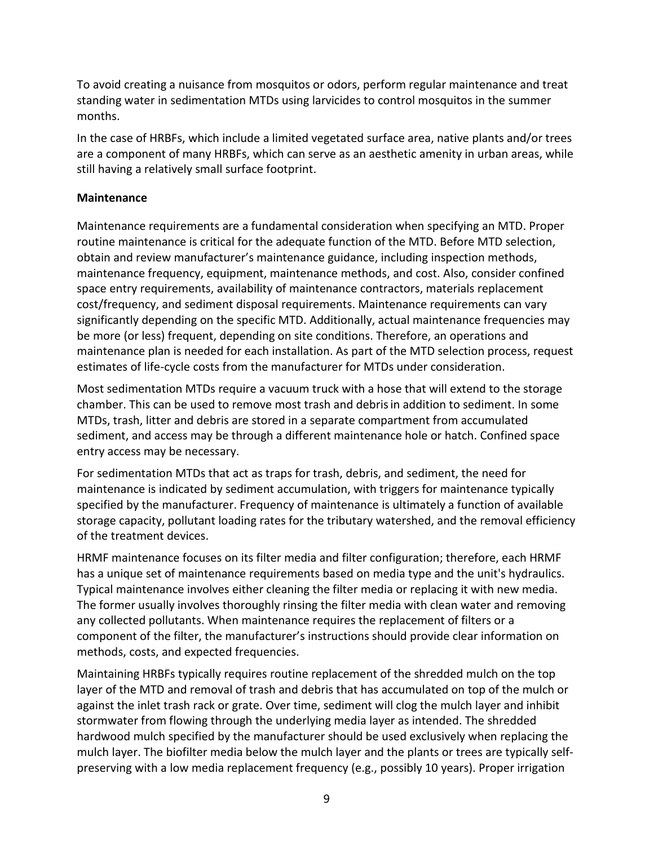To avoid creating a nuisance from mosquitos or odors, perform regular maintenance and treat standing water in sedimentation MTDs using larvicides to control mosquitos in the summer months.

In the case of HRBFs, which include a limited vegetated surface area, native plants and/or trees are a component of many HRBFs, which can serve as an aesthetic amenity in urban areas, while still having a relatively small surface footprint.

### **Maintenance**

Maintenance requirements are a fundamental consideration when specifying an MTD. Proper routine maintenance is critical for the adequate function of the MTD. Before MTD selection, obtain and review manufacturer's maintenance guidance, including inspection methods, maintenance frequency, equipment, maintenance methods, and cost. Also, consider confined space entry requirements, availability of maintenance contractors, materials replacement cost/frequency, and sediment disposal requirements. Maintenance requirements can vary significantly depending on the specific MTD. Additionally, actual maintenance frequencies may be more (or less) frequent, depending on site conditions. Therefore, an operations and maintenance plan is needed for each installation. As part of the MTD selection process, request estimates of life-cycle costs from the manufacturer for MTDs under consideration.

Most sedimentation MTDs require a vacuum truck with a hose that will extend to the storage chamber. This can be used to remove most trash and debrisin addition to sediment. In some MTDs, trash, litter and debris are stored in a separate compartment from accumulated sediment, and access may be through a different maintenance hole or hatch. Confined space entry access may be necessary.

For sedimentation MTDs that act as traps for trash, debris, and sediment, the need for maintenance is indicated by sediment accumulation, with triggers for maintenance typically specified by the manufacturer. Frequency of maintenance is ultimately a function of available storage capacity, pollutant loading rates for the tributary watershed, and the removal efficiency of the treatment devices.

HRMF maintenance focuses on its filter media and filter configuration; therefore, each HRMF has a unique set of maintenance requirements based on media type and the unit's hydraulics. Typical maintenance involves either cleaning the filter media or replacing it with new media. The former usually involves thoroughly rinsing the filter media with clean water and removing any collected pollutants. When maintenance requires the replacement of filters or a component of the filter, the manufacturer's instructions should provide clear information on methods, costs, and expected frequencies.

Maintaining HRBFs typically requires routine replacement of the shredded mulch on the top layer of the MTD and removal of trash and debris that has accumulated on top of the mulch or against the inlet trash rack or grate. Over time, sediment will clog the mulch layer and inhibit stormwater from flowing through the underlying media layer as intended. The shredded hardwood mulch specified by the manufacturer should be used exclusively when replacing the mulch layer. The biofilter media below the mulch layer and the plants or trees are typically selfpreserving with a low media replacement frequency (e.g., possibly 10 years). Proper irrigation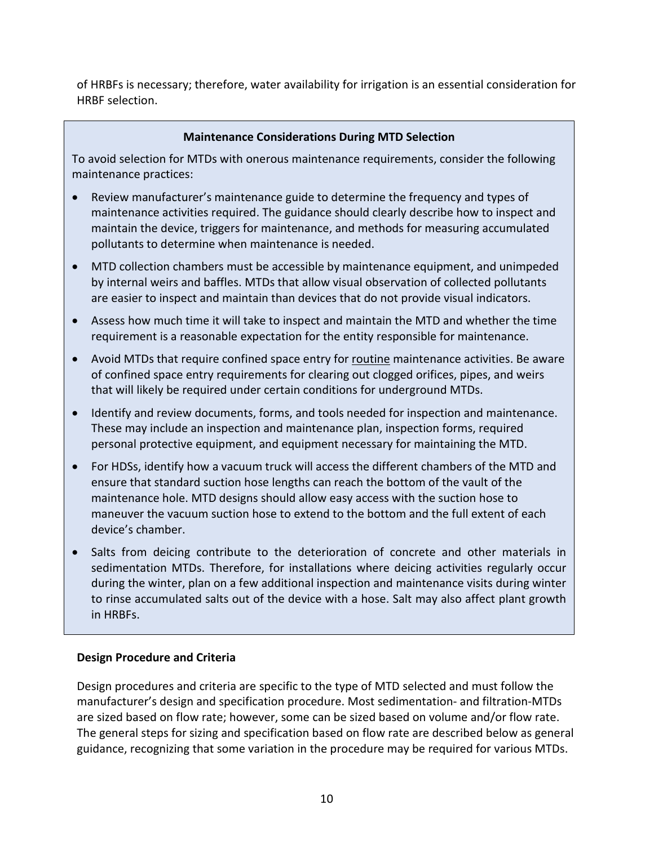of HRBFs is necessary; therefore, water availability for irrigation is an essential consideration for HRBF selection.

### **Maintenance Considerations During MTD Selection**

To avoid selection for MTDs with onerous maintenance requirements, consider the following maintenance practices:

- Review manufacturer's maintenance guide to determine the frequency and types of maintenance activities required. The guidance should clearly describe how to inspect and maintain the device, triggers for maintenance, and methods for measuring accumulated pollutants to determine when maintenance is needed.
- MTD collection chambers must be accessible by maintenance equipment, and unimpeded by internal weirs and baffles. MTDs that allow visual observation of collected pollutants are easier to inspect and maintain than devices that do not provide visual indicators.
- Assess how much time it will take to inspect and maintain the MTD and whether the time requirement is a reasonable expectation for the entity responsible for maintenance.
- Avoid MTDs that require confined space entry for routine maintenance activities. Be aware of confined space entry requirements for clearing out clogged orifices, pipes, and weirs that will likely be required under certain conditions for underground MTDs.
- Identify and review documents, forms, and tools needed for inspection and maintenance. These may include an inspection and maintenance plan, inspection forms, required personal protective equipment, and equipment necessary for maintaining the MTD.
- For HDSs, identify how a vacuum truck will access the different chambers of the MTD and ensure that standard suction hose lengths can reach the bottom of the vault of the maintenance hole. MTD designs should allow easy access with the suction hose to maneuver the vacuum suction hose to extend to the bottom and the full extent of each device's chamber.
- Salts from deicing contribute to the deterioration of concrete and other materials in sedimentation MTDs. Therefore, for installations where deicing activities regularly occur during the winter, plan on a few additional inspection and maintenance visits during winter to rinse accumulated salts out of the device with a hose. Salt may also affect plant growth in HRBFs.

### **Design Procedure and Criteria**

Design procedures and criteria are specific to the type of MTD selected and must follow the manufacturer's design and specification procedure. Most sedimentation- and filtration-MTDs are sized based on flow rate; however, some can be sized based on volume and/or flow rate. The general steps for sizing and specification based on flow rate are described below as general guidance, recognizing that some variation in the procedure may be required for various MTDs.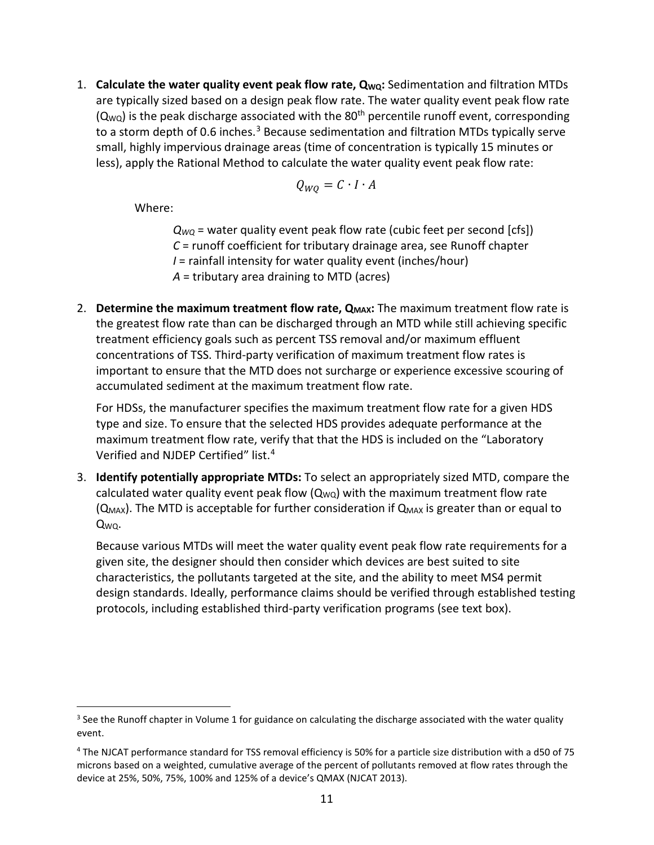1. **Calculate the water quality event peak flow rate, QWQ:** Sedimentation and filtration MTDs are typically sized based on a design peak flow rate. The water quality event peak flow rate  $(Q_{WQ})$  is the peak discharge associated with the 80<sup>th</sup> percentile runoff event, corresponding to a storm depth of 0.6 inches. $3$  Because sedimentation and filtration MTDs typically serve small, highly impervious drainage areas (time of concentration is typically 15 minutes or less), apply the Rational Method to calculate the water quality event peak flow rate:

$$
Q_{WQ}=C\cdot I\cdot A
$$

Where:

 $Q_{WO}$  = water quality event peak flow rate (cubic feet per second [cfs]) *C* = runoff coefficient for tributary drainage area, see Runoff chapter *I* = rainfall intensity for water quality event (inches/hour) *A* = tributary area draining to MTD (acres)

2. **Determine the maximum treatment flow rate, Q<sub>MAX</sub>:** The maximum treatment flow rate is the greatest flow rate than can be discharged through an MTD while still achieving specific treatment efficiency goals such as percent TSS removal and/or maximum effluent concentrations of TSS. Third-party verification of maximum treatment flow rates is important to ensure that the MTD does not surcharge or experience excessive scouring of accumulated sediment at the maximum treatment flow rate.

For HDSs, the manufacturer specifies the maximum treatment flow rate for a given HDS type and size. To ensure that the selected HDS provides adequate performance at the maximum treatment flow rate, verify that that the HDS is included on the "Laboratory Verified and NJDEP Certified" list.<sup>[4](#page-10-1)</sup>

3. **Identify potentially appropriate MTDs:** To select an appropriately sized MTD, compare the calculated water quality event peak flow  $(Q_{WQ})$  with the maximum treatment flow rate  $(Q_{MAX})$ . The MTD is acceptable for further consideration if  $Q_{MAX}$  is greater than or equal to QWQ.

Because various MTDs will meet the water quality event peak flow rate requirements for a given site, the designer should then consider which devices are best suited to site characteristics, the pollutants targeted at the site, and the ability to meet MS4 permit design standards. Ideally, performance claims should be verified through established testing protocols, including established third-party verification programs (see text box).

<span id="page-10-0"></span><sup>&</sup>lt;sup>3</sup> See the Runoff chapter in Volume 1 for guidance on calculating the discharge associated with the water quality event.

<span id="page-10-1"></span><sup>4</sup> The NJCAT performance standard for TSS removal efficiency is 50% for a particle size distribution with a d50 of 75 microns based on a weighted, cumulative average of the percent of pollutants removed at flow rates through the device at 25%, 50%, 75%, 100% and 125% of a device's QMAX (NJCAT 2013).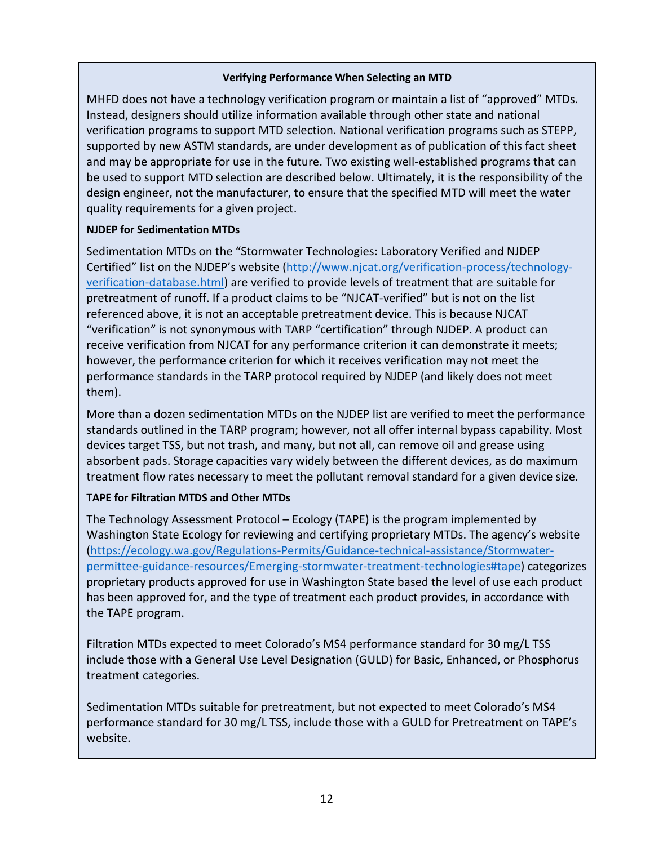#### **Verifying Performance When Selecting an MTD**

MHFD does not have a technology verification program or maintain a list of "approved" MTDs. Instead, designers should utilize information available through other state and national verification programs to support MTD selection. National verification programs such as STEPP, supported by new ASTM standards, are under development as of publication of this fact sheet and may be appropriate for use in the future. Two existing well-established programs that can be used to support MTD selection are described below. Ultimately, it is the responsibility of the design engineer, not the manufacturer, to ensure that the specified MTD will meet the water quality requirements for a given project.

#### **NJDEP for Sedimentation MTDs**

Sedimentation MTDs on the "Stormwater Technologies: Laboratory Verified and NJDEP Certified" list on the NJDEP's website [\(http://www.njcat.org/verification-process/technology](http://www.njcat.org/verification-process/technology-verification-database.html)[verification-database.html\)](http://www.njcat.org/verification-process/technology-verification-database.html) are verified to provide levels of treatment that are suitable for pretreatment of runoff. If a product claims to be "NJCAT-verified" but is not on the list referenced above, it is not an acceptable pretreatment device. This is because NJCAT "verification" is not synonymous with TARP "certification" through NJDEP. A product can receive verification from NJCAT for any performance criterion it can demonstrate it meets; however, the performance criterion for which it receives verification may not meet the performance standards in the TARP protocol required by NJDEP (and likely does not meet them).

More than a dozen sedimentation MTDs on the NJDEP list are verified to meet the performance standards outlined in the TARP program; however, not all offer internal bypass capability. Most devices target TSS, but not trash, and many, but not all, can remove oil and grease using absorbent pads. Storage capacities vary widely between the different devices, as do maximum treatment flow rates necessary to meet the pollutant removal standard for a given device size.

#### **TAPE for Filtration MTDS and Other MTDs**

The Technology Assessment Protocol – Ecology (TAPE) is the program implemented by Washington State Ecology for reviewing and certifying proprietary MTDs. The agency's website [\(https://ecology.wa.gov/Regulations-Permits/Guidance-technical-assistance/Stormwater](https://ecology.wa.gov/Regulations-Permits/Guidance-technical-assistance/Stormwater-permittee-guidance-resources/Emerging-stormwater-treatment-technologies#tape)[permittee-guidance-resources/Emerging-stormwater-treatment-technologies#tape\)](https://ecology.wa.gov/Regulations-Permits/Guidance-technical-assistance/Stormwater-permittee-guidance-resources/Emerging-stormwater-treatment-technologies#tape) categorizes proprietary products approved for use in Washington State based the level of use each product has been approved for, and the type of treatment each product provides, in accordance with the TAPE program.

Filtration MTDs expected to meet Colorado's MS4 performance standard for 30 mg/L TSS include those with a General Use Level Designation (GULD) for Basic, Enhanced, or Phosphorus treatment categories.

Sedimentation MTDs suitable for pretreatment, but not expected to meet Colorado's MS4 performance standard for 30 mg/L TSS, include those with a GULD for Pretreatment on TAPE's website.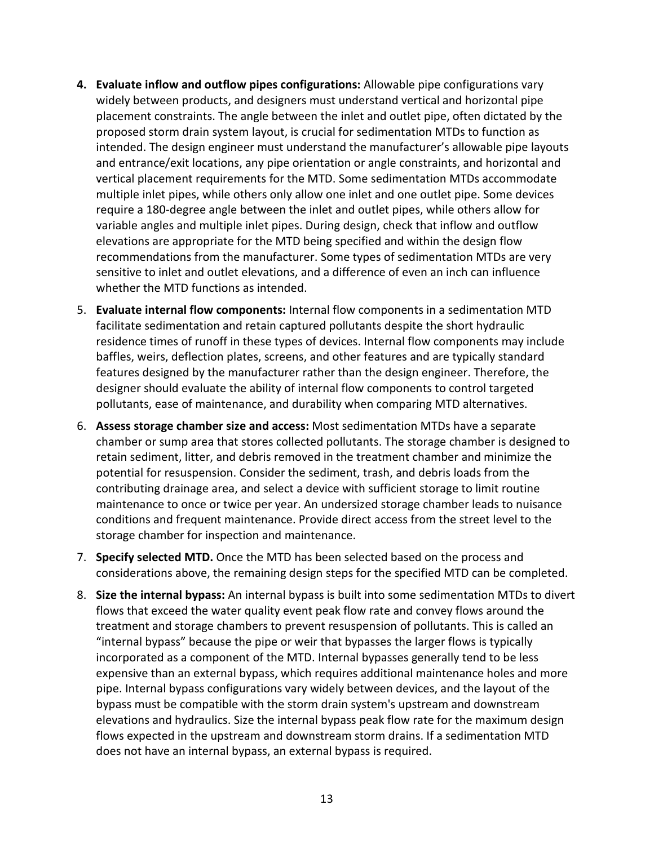- **4. Evaluate inflow and outflow pipes configurations:** Allowable pipe configurations vary widely between products, and designers must understand vertical and horizontal pipe placement constraints. The angle between the inlet and outlet pipe, often dictated by the proposed storm drain system layout, is crucial for sedimentation MTDs to function as intended. The design engineer must understand the manufacturer's allowable pipe layouts and entrance/exit locations, any pipe orientation or angle constraints, and horizontal and vertical placement requirements for the MTD. Some sedimentation MTDs accommodate multiple inlet pipes, while others only allow one inlet and one outlet pipe. Some devices require a 180-degree angle between the inlet and outlet pipes, while others allow for variable angles and multiple inlet pipes. During design, check that inflow and outflow elevations are appropriate for the MTD being specified and within the design flow recommendations from the manufacturer. Some types of sedimentation MTDs are very sensitive to inlet and outlet elevations, and a difference of even an inch can influence whether the MTD functions as intended.
- 5. **Evaluate internal flow components:** Internal flow components in a sedimentation MTD facilitate sedimentation and retain captured pollutants despite the short hydraulic residence times of runoff in these types of devices. Internal flow components may include baffles, weirs, deflection plates, screens, and other features and are typically standard features designed by the manufacturer rather than the design engineer. Therefore, the designer should evaluate the ability of internal flow components to control targeted pollutants, ease of maintenance, and durability when comparing MTD alternatives.
- 6. **Assess storage chamber size and access:** Most sedimentation MTDs have a separate chamber or sump area that stores collected pollutants. The storage chamber is designed to retain sediment, litter, and debris removed in the treatment chamber and minimize the potential for resuspension. Consider the sediment, trash, and debris loads from the contributing drainage area, and select a device with sufficient storage to limit routine maintenance to once or twice per year. An undersized storage chamber leads to nuisance conditions and frequent maintenance. Provide direct access from the street level to the storage chamber for inspection and maintenance.
- 7. **Specify selected MTD.** Once the MTD has been selected based on the process and considerations above, the remaining design steps for the specified MTD can be completed.
- 8. **Size the internal bypass:** An internal bypass is built into some sedimentation MTDs to divert flows that exceed the water quality event peak flow rate and convey flows around the treatment and storage chambers to prevent resuspension of pollutants. This is called an "internal bypass" because the pipe or weir that bypasses the larger flows is typically incorporated as a component of the MTD. Internal bypasses generally tend to be less expensive than an external bypass, which requires additional maintenance holes and more pipe. Internal bypass configurations vary widely between devices, and the layout of the bypass must be compatible with the storm drain system's upstream and downstream elevations and hydraulics. Size the internal bypass peak flow rate for the maximum design flows expected in the upstream and downstream storm drains. If a sedimentation MTD does not have an internal bypass, an external bypass is required.